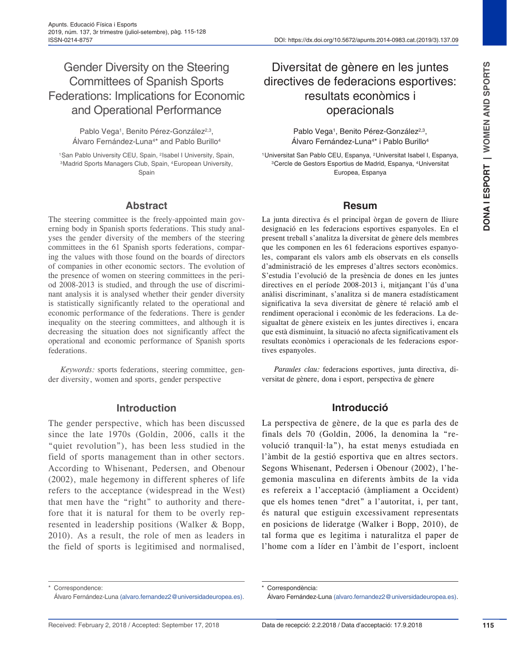# Gender Diversity on the Steering Committees of Spanish Sports Federations: Implications for Economic and Operational Performance

Pablo Vega<sup>1</sup>, Benito Pérez-González<sup>2,3</sup>, Álvaro Fernández-Luna<sup>4\*</sup> and Pablo Burillo<sup>4</sup>

<sup>1</sup>San Pablo University CEU, Spain, <sup>2</sup>Isabel I University, Spain, 3Madrid Sports Managers Club, Spain, 4European University, Spain

#### **Abstract**

The steering committee is the freely-appointed main governing body in Spanish sports federations. This study analyses the gender diversity of the members of the steering committees in the 61 Spanish sports federations, comparing the values with those found on the boards of directors of companies in other economic sectors. The evolution of the presence of women on steering committees in the period 2008-2013 is studied, and through the use of discriminant analysis it is analysed whether their gender diversity is statistically significantly related to the operational and economic performance of the federations. There is gender inequality on the steering committees, and although it is decreasing the situation does not significantly affect the operational and economic performance of Spanish sports federations.

*Keywords:* sports federations, steering committee, gender diversity, women and sports, gender perspective

#### **Introduction**

The gender perspective, which has been discussed since the late 1970s (Goldin, 2006, calls it the "quiet revolution"), has been less studied in the field of sports management than in other sectors. According to Whisenant, Pedersen, and Obenour (2002), male hegemony in different spheres of life refers to the acceptance (widespread in the West) that men have the "right" to authority and therefore that it is natural for them to be overly represented in leadership positions (Walker & Bopp, 2010). As a result, the role of men as leaders in the field of sports is legitimised and normalised,

# Diversitat de gènere en les juntes directives de federacions esportives: resultats econòmics i operacionals

Pablo Vega<sup>1</sup>, Benito Pérez-González<sup>2,3</sup>, Álvaro Fernández-Luna4\* i Pablo Burillo4

1Universitat San Pablo CEU, Espanya, 2Universitat Isabel I, Espanya, 3Cercle de Gestors Esportius de Madrid, Espanya, 4Universitat Europea, Espanya

#### **Resum**

La junta directiva és el principal òrgan de govern de lliure designació en les federacions esportives espanyoles. En el present treball s'analitza la diversitat de gènere dels membres que les componen en les 61 federacions esportives espanyoles, comparant els valors amb els observats en els consells d'administració de les empreses d'altres sectors econòmics. S'estudia l'evolució de la presència de dones en les juntes directives en el període 2008-2013 i, mitjançant l'ús d'una anàlisi discriminant, s'analitza si de manera estadísticament significativa la seva diversitat de gènere té relació amb el rendiment operacional i econòmic de les federacions. La desigualtat de gènere existeix en les juntes directives i, encara que està disminuint, la situació no afecta significativament els resultats econòmics i operacionals de les federacions esportives espanyoles.

*Paraules clau:* federacions esportives, junta directiva, diversitat de gènere, dona i esport, perspectiva de gènere

#### **Introducció**

La perspectiva de gènere, de la que es parla des de finals dels 70 (Goldin, 2006, la denomina la "revolució tranquil·la"), ha estat menys estudiada en l'àmbit de la gestió esportiva que en altres sectors. Segons Whisenant, Pedersen i Obenour (2002), l'hegemonia masculina en diferents àmbits de la vida es refereix a l'acceptació (àmpliament a Occident) que els homes tenen "dret" a l'autoritat, i, per tant, és natural que estiguin excessivament representats en posicions de lideratge (Walker i Bopp, 2010), de tal forma que es legitima i naturalitza el paper de l'home com a líder en l'àmbit de l'esport, incloent

Correspondence:

Álvaro Fernández-Luna (alvaro.fernandez2@universidadeuropea.es).

Correspondència:

Álvaro Fernández-Luna (alvaro.fernandez2@universidadeuropea.es).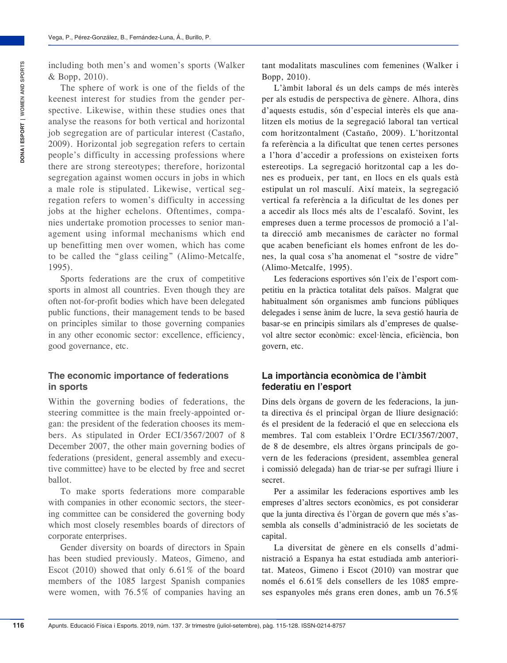The sphere of work is one of the fields of the keenest interest for studies from the gender perspective. Likewise, within these studies ones that analyse the reasons for both vertical and horizontal job segregation are of particular interest (Castaño, 2009). Horizontal job segregation refers to certain people's difficulty in accessing professions where there are strong stereotypes; therefore, horizontal segregation against women occurs in jobs in which a male role is stipulated. Likewise, vertical segregation refers to women's difficulty in accessing jobs at the higher echelons. Oftentimes, companies undertake promotion processes to senior management using informal mechanisms which end up benefitting men over women, which has come to be called the "glass ceiling" (Alimo-Metcalfe, 1995).

Sports federations are the crux of competitive sports in almost all countries. Even though they are often not-for-profit bodies which have been delegated public functions, their management tends to be based on principles similar to those governing companies in any other economic sector: excellence, efficiency, good governance, etc.

#### **The economic importance of federations in sports**

Within the governing bodies of federations, the steering committee is the main freely-appointed organ: the president of the federation chooses its members. As stipulated in Order ECI/3567/2007 of 8 December 2007, the other main governing bodies of federations (president, general assembly and executive committee) have to be elected by free and secret ballot.

To make sports federations more comparable with companies in other economic sectors, the steering committee can be considered the governing body which most closely resembles boards of directors of corporate enterprises.

Gender diversity on boards of directors in Spain has been studied previously. Mateos, Gimeno, and Escot (2010) showed that only 6.61% of the board members of the 1085 largest Spanish companies were women, with 76.5% of companies having an

tant modalitats masculines com femenines (Walker i Bopp, 2010).

L'àmbit laboral és un dels camps de més interès per als estudis de perspectiva de gènere. Alhora, dins d'aquests estudis, són d'especial interès els que analitzen els motius de la segregació laboral tan vertical com horitzontalment (Castaño, 2009). L'horitzontal fa referència a la dificultat que tenen certes persones a l'hora d'accedir a professions on existeixen forts estereotips. La segregació horitzontal cap a les dones es produeix, per tant, en llocs en els quals està estipulat un rol masculí. Així mateix, la segregació vertical fa referència a la dificultat de les dones per a accedir als llocs més alts de l'escalafó. Sovint, les empreses duen a terme processos de promoció a l'alta direcció amb mecanismes de caràcter no formal que acaben beneficiant els homes enfront de les dones, la qual cosa s'ha anomenat el "sostre de vidre" (Alimo-Metcalfe, 1995).

Les federacions esportives són l'eix de l'esport competitiu en la pràctica totalitat dels països. Malgrat que habitualment són organismes amb funcions públiques delegades i sense ànim de lucre, la seva gestió hauria de basar-se en principis similars als d'empreses de qualsevol altre sector econòmic: excel·lència, eficiència, bon govern, etc.

#### **La importància econòmica de l'àmbit federatiu en l'esport**

Dins dels òrgans de govern de les federacions, la junta directiva és el principal òrgan de lliure designació: és el president de la federació el que en selecciona els membres. Tal com estableix l'Ordre ECI/3567/2007, de 8 de desembre, els altres òrgans principals de govern de les federacions (president, assemblea general i comissió delegada) han de triar-se per sufragi lliure i secret.

Per a assimilar les federacions esportives amb les empreses d'altres sectors econòmics, es pot considerar que la junta directiva és l'òrgan de govern que més s'assembla als consells d'administració de les societats de capital.

La diversitat de gènere en els consells d'administració a Espanya ha estat estudiada amb anterioritat. Mateos, Gimeno i Escot (2010) van mostrar que només el 6.61% dels consellers de les 1085 empreses espanyoles més grans eren dones, amb un 76.5%

**DONA I ESPORT | WOMEN AND SPORTS**

ONA I ESPORT | WOMEN AND SPORTS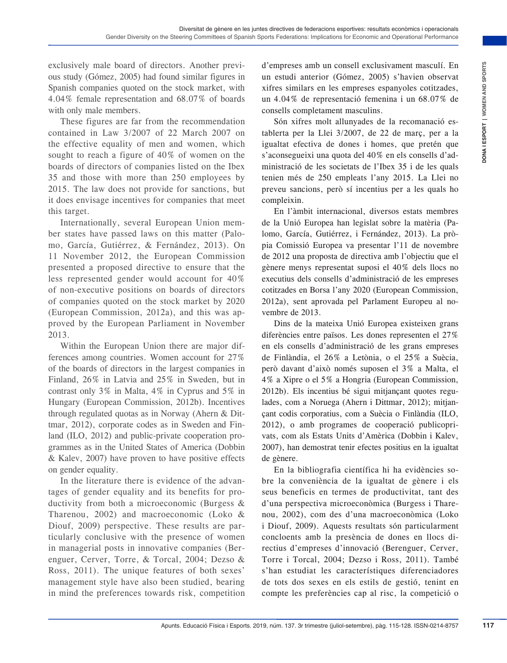exclusively male board of directors. Another previous study (Gómez, 2005) had found similar figures in Spanish companies quoted on the stock market, with 4.04% female representation and 68.07% of boards with only male members.

These figures are far from the recommendation contained in Law 3/2007 of 22 March 2007 on the effective equality of men and women, which sought to reach a figure of 40% of women on the boards of directors of companies listed on the Ibex 35 and those with more than 250 employees by 2015. The law does not provide for sanctions, but it does envisage incentives for companies that meet this target.

Internationally, several European Union member states have passed laws on this matter (Palomo, García, Gutiérrez, & Fernández, 2013). On 11 November 2012, the European Commission presented a proposed directive to ensure that the less represented gender would account for 40% of non-executive positions on boards of directors of companies quoted on the stock market by 2020 (European Commission, 2012a), and this was approved by the European Parliament in November 2013.

Within the European Union there are major differences among countries. Women account for 27% of the boards of directors in the largest companies in Finland, 26% in Latvia and 25% in Sweden, but in contrast only 3% in Malta, 4% in Cyprus and 5% in Hungary (European Commission, 2012b). Incentives through regulated quotas as in Norway (Ahern & Dittmar, 2012), corporate codes as in Sweden and Finland (ILO, 2012) and public-private cooperation programmes as in the United States of America (Dobbin & Kalev, 2007) have proven to have positive effects on gender equality.

In the literature there is evidence of the advantages of gender equality and its benefits for productivity from both a microeconomic (Burgess & Tharenou, 2002) and macroeconomic (Loko & Diouf, 2009) perspective. These results are particularly conclusive with the presence of women in managerial posts in innovative companies (Berenguer, Cerver, Torre, & Torcal, 2004; Dezso & Ross, 2011). The unique features of both sexes' management style have also been studied, bearing in mind the preferences towards risk, competition d'empreses amb un consell exclusivament masculí. En un estudi anterior (Gómez, 2005) s'havien observat xifres similars en les empreses espanyoles cotitzades, un 4.04% de representació femenina i un 68.07% de consells completament masculins.

Són xifres molt allunyades de la recomanació establerta per la Llei 3/2007, de 22 de març, per a la igualtat efectiva de dones i homes, que pretén que s'aconsegueixi una quota del 40% en els consells d'administració de les societats de l'Ibex 35 i de les quals tenien més de 250 empleats l'any 2015. La Llei no preveu sancions, però sí incentius per a les quals ho compleixin.

En l'àmbit internacional, diversos estats membres de la Unió Europea han legislat sobre la matèria (Palomo, García, Gutiérrez, i Fernández, 2013). La pròpia Comissió Europea va presentar l'11 de novembre de 2012 una proposta de directiva amb l'objectiu que el gènere menys representat suposi el 40% dels llocs no executius dels consells d'administració de les empreses cotitzades en Borsa l'any 2020 (European Commission, 2012a), sent aprovada pel Parlament Europeu al novembre de 2013.

Cortinue, a Approach is trime to the simulation in one of treats in the step range of the step range of the step range of the step range of the step range of the step range of the step range of the commonlistica in the com Dins de la mateixa Unió Europea existeixen grans diferències entre països. Les dones representen el 27% en els consells d'administració de les grans empreses de Finlàndia, el 26% a Letònia, o el 25% a Suècia, però davant d'això només suposen el 3% a Malta, el 4% a Xipre o el 5% a Hongria (European Commission, 2012b). Els incentius bé sigui mitjançant quotes regulades, com a Noruega (Ahern i Dittmar, 2012); mitjançant codis corporatius, com a Suècia o Finlàndia (ILO, 2012), o amb programes de cooperació publicoprivats, com als Estats Units d'Amèrica (Dobbin i Kalev, 2007), han demostrat tenir efectes positius en la igualtat de gènere.

En la bibliografia científica hi ha evidències sobre la conveniència de la igualtat de gènere i els seus beneficis en termes de productivitat, tant des d'una perspectiva microeconòmica (Burgess i Tharenou, 2002), com des d'una macroeconòmica (Loko i Diouf, 2009). Aquests resultats són particularment concloents amb la presència de dones en llocs directius d'empreses d'innovació (Berenguer, Cerver, Torre i Torcal, 2004; Dezso i Ross, 2011). També s'han estudiat les característiques diferenciadores de tots dos sexes en els estils de gestió, tenint en compte les preferències cap al risc, la competició o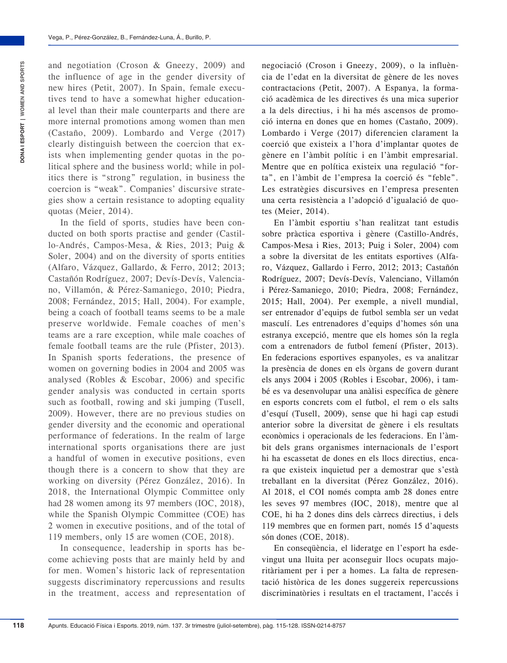and negotiation (Croson & Gneezy, 2009) and the influence of age in the gender diversity of new hires (Petit, 2007). In Spain, female executives tend to have a somewhat higher educational level than their male counterparts and there are more internal promotions among women than men (Castaño, 2009). Lombardo and Verge (2017) clearly distinguish between the coercion that exists when implementing gender quotas in the political sphere and the business world; while in politics there is "strong" regulation, in business the coercion is "weak". Companies' discursive strategies show a certain resistance to adopting equality quotas (Meier, 2014).

In the field of sports, studies have been conducted on both sports practise and gender (Castillo-Andrés, Campos-Mesa, & Ries, 2013; Puig & Soler, 2004) and on the diversity of sports entities (Alfaro, Vázquez, Gallardo, & Ferro, 2012; 2013; Castañón Rodríguez, 2007; Devís-Devís, Valenciano, Villamón, & Pérez-Samaniego, 2010; Piedra, 2008; Fernández, 2015; Hall, 2004). For example, being a coach of football teams seems to be a male preserve worldwide. Female coaches of men's teams are a rare exception, while male coaches of female football teams are the rule (Pfister, 2013). In Spanish sports federations, the presence of women on governing bodies in 2004 and 2005 was analysed (Robles & Escobar, 2006) and specific gender analysis was conducted in certain sports such as football, rowing and ski jumping (Tusell, 2009). However, there are no previous studies on gender diversity and the economic and operational performance of federations. In the realm of large international sports organisations there are just a handful of women in executive positions, even though there is a concern to show that they are working on diversity (Pérez González, 2016). In 2018, the International Olympic Committee only had 28 women among its 97 members (IOC, 2018), while the Spanish Olympic Committee (COE) has 2 women in executive positions, and of the total of 119 members, only 15 are women (COE, 2018).

In consequence, leadership in sports has become achieving posts that are mainly held by and for men. Women's historic lack of representation suggests discriminatory repercussions and results in the treatment, access and representation of negociació (Croson i Gneezy, 2009), o la influència de l'edat en la diversitat de gènere de les noves contractacions (Petit, 2007). A Espanya, la formació acadèmica de les directives és una mica superior a la dels directius, i hi ha més ascensos de promoció interna en dones que en homes (Castaño, 2009). Lombardo i Verge (2017) diferencien clarament la coerció que existeix a l'hora d'implantar quotes de gènere en l'àmbit polític i en l'àmbit empresarial. Mentre que en política existeix una regulació "forta", en l'àmbit de l'empresa la coerció és "feble". Les estratègies discursives en l'empresa presenten una certa resistència a l'adopció d'igualació de quotes (Meier, 2014).

En l'àmbit esportiu s'han realitzat tant estudis sobre pràctica esportiva i gènere (Castillo-Andrés, Campos-Mesa i Ries, 2013; Puig i Soler, 2004) com a sobre la diversitat de les entitats esportives (Alfaro, Vázquez, Gallardo i Ferro, 2012; 2013; Castañón Rodríguez, 2007; Devís-Devís, Valenciano, Villamón i Pérez-Samaniego, 2010; Piedra, 2008; Fernández, 2015; Hall, 2004). Per exemple, a nivell mundial, ser entrenador d'equips de futbol sembla ser un vedat masculí. Les entrenadores d'equips d'homes són una estranya excepció, mentre que els homes són la regla com a entrenadors de futbol femení (Pfister, 2013). En federacions esportives espanyoles, es va analitzar la presència de dones en els òrgans de govern durant els anys 2004 i 2005 (Robles i Escobar, 2006), i també es va desenvolupar una anàlisi específica de gènere en esports concrets com el futbol, el rem o els salts d'esquí (Tusell, 2009), sense que hi hagi cap estudi anterior sobre la diversitat de gènere i els resultats econòmics i operacionals de les federacions. En l'àmbit dels grans organismes internacionals de l'esport hi ha escassetat de dones en els llocs directius, encara que existeix inquietud per a demostrar que s'està treballant en la diversitat (Pérez González, 2016). Al 2018, el COI només compta amb 28 dones entre les seves 97 membres (IOC, 2018), mentre que al COE, hi ha 2 dones dins dels càrrecs directius, i dels 119 membres que en formen part, només 15 d'aquests són dones (COE, 2018).

En conseqüència, el lideratge en l'esport ha esdevingut una lluita per aconseguir llocs ocupats majoritàriament per i per a homes. La falta de representació històrica de les dones suggereix repercussions discriminatòries i resultats en el tractament, l'accés i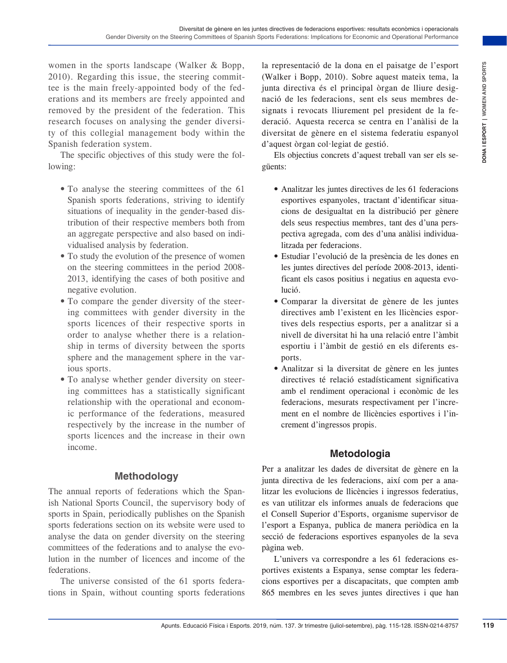women in the sports landscape (Walker & Bopp, 2010). Regarding this issue, the steering committee is the main freely-appointed body of the federations and its members are freely appointed and removed by the president of the federation. This research focuses on analysing the gender diversity of this collegial management body within the Spanish federation system.

The specific objectives of this study were the following:

- To analyse the steering committees of the 61 Spanish sports federations, striving to identify situations of inequality in the gender-based distribution of their respective members both from an aggregate perspective and also based on individualised analysis by federation.
- To study the evolution of the presence of women on the steering committees in the period 2008- 2013, identifying the cases of both positive and negative evolution.
- To compare the gender diversity of the steering committees with gender diversity in the sports licences of their respective sports in order to analyse whether there is a relationship in terms of diversity between the sports sphere and the management sphere in the various sports.
- To analyse whether gender diversity on steering committees has a statistically significant relationship with the operational and economic performance of the federations, measured respectively by the increase in the number of sports licences and the increase in their own income.

#### **Methodology**

The annual reports of federations which the Spanish National Sports Council, the supervisory body of sports in Spain, periodically publishes on the Spanish sports federations section on its website were used to analyse the data on gender diversity on the steering committees of the federations and to analyse the evolution in the number of licences and income of the federations.

The universe consisted of the 61 sports federations in Spain, without counting sports federations la representació de la dona en el paisatge de l'esport (Walker i Bopp, 2010). Sobre aquest mateix tema, la junta directiva és el principal òrgan de lliure designació de les federacions, sent els seus membres designats i revocats lliurement pel president de la federació. Aquesta recerca se centra en l'anàlisi de la diversitat de gènere en el sistema federatiu espanyol d'aquest òrgan col·legiat de gestió.

Els objectius concrets d'aquest treball van ser els següents:

- Analitzar les juntes directives de les 61 federacions esportives espanyoles, tractant d'identificar situacions de desigualtat en la distribució per gènere dels seus respectius membres, tant des d'una perspectiva agregada, com des d'una anàlisi individualitzada per federacions.
- Estudiar l'evolució de la presència de les dones en les juntes directives del període 2008-2013, identificant els casos positius i negatius en aquesta evolució.
- Comparar la diversitat de gènere de les juntes directives amb l'existent en les llicències esportives dels respectius esports, per a analitzar si a nivell de diversitat hi ha una relació entre l'àmbit esportiu i l'àmbit de gestió en els diferents esports.
- Analitzar si la diversitat de gènere en les juntes directives té relació estadísticament significativa amb el rendiment operacional i econòmic de les federacions, mesurats respectivament per l'increment en el nombre de llicències esportives i l'increment d'ingressos propis.

## **Metodologia**

The Constrained Properties of the fisical information of paints and the setting of the setting in the setting in the setting of the setting of the setting of the set of the set of the set of the set of the set of the set o Per a analitzar les dades de diversitat de gènere en la junta directiva de les federacions, així com per a analitzar les evolucions de llicències i ingressos federatius, es van utilitzar els informes anuals de federacions que el Consell Superior d'Esports, organisme supervisor de l'esport a Espanya, publica de manera periòdica en la secció de federacions esportives espanyoles de la seva pàgina web.

L'univers va correspondre a les 61 federacions esportives existents a Espanya, sense comptar les federacions esportives per a discapacitats, que compten amb 865 membres en les seves juntes directives i que han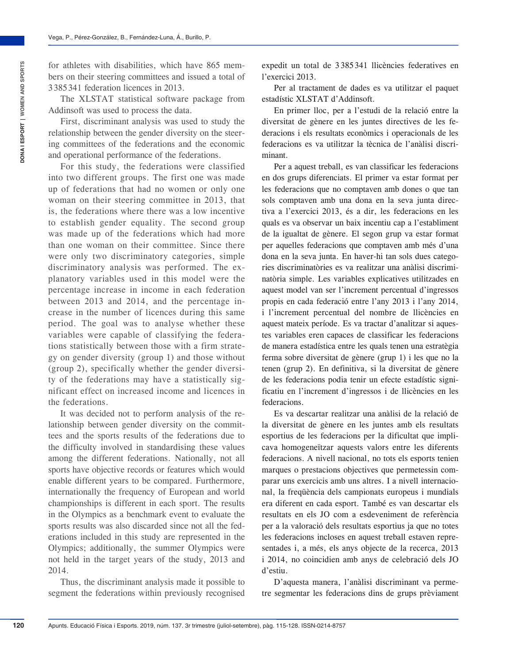for athletes with disabilities, which have 865 members on their steering committees and issued a total of 3 385 341 federation licences in 2013.

The XLSTAT statistical software package from Addinsoft was used to process the data.

First, discriminant analysis was used to study the relationship between the gender diversity on the steering committees of the federations and the economic and operational performance of the federations.

For this study, the federations were classified into two different groups. The first one was made up of federations that had no women or only one woman on their steering committee in 2013, that is, the federations where there was a low incentive to establish gender equality. The second group was made up of the federations which had more than one woman on their committee. Since there were only two discriminatory categories, simple discriminatory analysis was performed. The explanatory variables used in this model were the percentage increase in income in each federation between 2013 and 2014, and the percentage increase in the number of licences during this same period. The goal was to analyse whether these variables were capable of classifying the federations statistically between those with a firm strategy on gender diversity (group 1) and those without (group 2), specifically whether the gender diversity of the federations may have a statistically significant effect on increased income and licences in the federations.

It was decided not to perform analysis of the relationship between gender diversity on the committees and the sports results of the federations due to the difficulty involved in standardising these values among the different federations. Nationally, not all sports have objective records or features which would enable different years to be compared. Furthermore, internationally the frequency of European and world championships is different in each sport. The results in the Olympics as a benchmark event to evaluate the sports results was also discarded since not all the federations included in this study are represented in the Olympics; additionally, the summer Olympics were not held in the target years of the study, 2013 and 2014.

Thus, the discriminant analysis made it possible to segment the federations within previously recognised expedit un total de 3 385 341 llicències federatives en l'exercici 2013.

Per al tractament de dades es va utilitzar el paquet estadístic XLSTAT d'Addinsoft.

En primer lloc, per a l'estudi de la relació entre la diversitat de gènere en les juntes directives de les federacions i els resultats econòmics i operacionals de les federacions es va utilitzar la tècnica de l'anàlisi discriminant.

Per a aquest treball, es van classificar les federacions en dos grups diferenciats. El primer va estar format per les federacions que no comptaven amb dones o que tan sols comptaven amb una dona en la seva junta directiva a l'exercici 2013, és a dir, les federacions en les quals es va observar un baix incentiu cap a l'establiment de la igualtat de gènere. El segon grup va estar format per aquelles federacions que comptaven amb més d'una dona en la seva junta. En haver-hi tan sols dues categories discriminatòries es va realitzar una anàlisi discriminatòria simple. Les variables explicatives utilitzades en aquest model van ser l'increment percentual d'ingressos propis en cada federació entre l'any 2013 i l'any 2014, i l'increment percentual del nombre de llicències en aquest mateix període. Es va tractar d'analitzar si aquestes variables eren capaces de classificar les federacions de manera estadística entre les quals tenen una estratègia ferma sobre diversitat de gènere (grup 1) i les que no la tenen (grup 2). En definitiva, si la diversitat de gènere de les federacions podia tenir un efecte estadístic significatiu en l'increment d'ingressos i de llicències en les federacions.

Es va descartar realitzar una anàlisi de la relació de la diversitat de gènere en les juntes amb els resultats esportius de les federacions per la dificultat que implicava homogeneïtzar aquests valors entre les diferents federacions. A nivell nacional, no tots els esports tenien marques o prestacions objectives que permetessin comparar uns exercicis amb uns altres. I a nivell internacional, la freqüència dels campionats europeus i mundials era diferent en cada esport. També es van descartar els resultats en els JO com a esdeveniment de referència per a la valoració dels resultats esportius ja que no totes les federacions incloses en aquest treball estaven representades i, a més, els anys objecte de la recerca, 2013 i 2014, no coincidien amb anys de celebració dels JO d'estiu.

D'aquesta manera, l'anàlisi discriminant va permetre segmentar les federacions dins de grups prèviament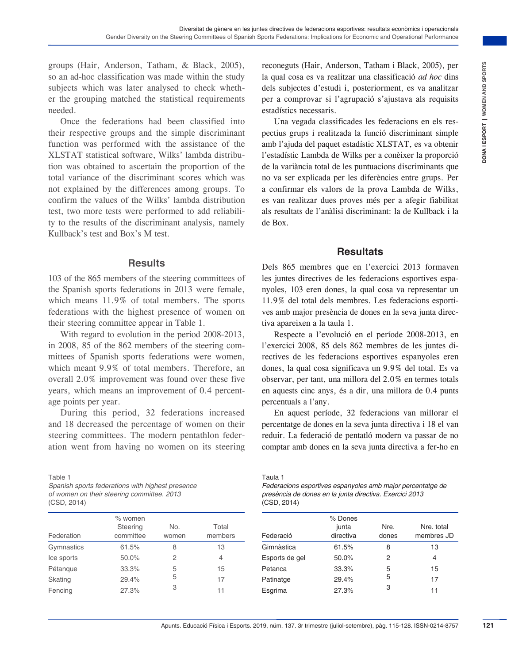groups (Hair, Anderson, Tatham, & Black, 2005), so an ad-hoc classification was made within the study subjects which was later analysed to check whether the grouping matched the statistical requirements needed.

Once the federations had been classified into their respective groups and the simple discriminant function was performed with the assistance of the XLSTAT statistical software, Wilks' lambda distribution was obtained to ascertain the proportion of the total variance of the discriminant scores which was not explained by the differences among groups. To confirm the values of the Wilks' lambda distribution test, two more tests were performed to add reliability to the results of the discriminant analysis, namely Kullback's test and Box's M test.

#### **Results**

103 of the 865 members of the steering committees of the Spanish sports federations in 2013 were female, which means 11.9% of total members. The sports federations with the highest presence of women on their steering committee appear in Table 1.

With regard to evolution in the period 2008-2013, in 2008, 85 of the 862 members of the steering committees of Spanish sports federations were women, which meant 9.9% of total members. Therefore, an overall 2.0% improvement was found over these five years, which means an improvement of 0.4 percentage points per year.

During this period, 32 federations increased and 18 decreased the percentage of women on their steering committees. The modern pentathlon federation went from having no women on its steering

Table 1

*Spanish sports federations with highest presence of women on their steering committee. 2013* (CSD, 2014)

| Federation | $%$ women<br>Steering<br>committee | No.<br>women | Total<br>members |
|------------|------------------------------------|--------------|------------------|
| Gymnastics | 61.5%                              | 8            | 13               |
| Ice sports | 50.0%                              | 2            | 4                |
| Pétangue   | 33.3%                              | 5            | 15               |
| Skating    | 29.4%                              | 5            | 17               |
| Fencing    | 27.3%                              | 3            | 11               |
|            |                                    |              |                  |

reconeguts (Hair, Anderson, Tatham i Black, 2005), per la qual cosa es va realitzar una classificació *ad hoc* dins dels subjectes d'estudi i, posteriorment, es va analitzar per a comprovar si l'agrupació s'ajustava als requisits estadístics necessaris.

Am R. Believe, 2005), reconsensite in the consensite in the subject of the consensite in the conservation of the subject of the subject of the subject of the subject of the subject of the subject of the subject of the subj Una vegada classificades les federacions en els respectius grups i realitzada la funció discriminant simple amb l'ajuda del paquet estadístic XLSTAT, es va obtenir l'estadístic Lambda de Wilks per a conèixer la proporció de la variància total de les puntuacions discriminants que no va ser explicada per les diferències entre grups. Per a confirmar els valors de la prova Lambda de Wilks, es van realitzar dues proves més per a afegir fiabilitat als resultats de l'anàlisi discriminant: la de Kullback i la de Box.

#### **Resultats**

Dels 865 membres que en l'exercici 2013 formaven les juntes directives de les federacions esportives espanyoles, 103 eren dones, la qual cosa va representar un 11.9% del total dels membres. Les federacions esportives amb major presència de dones en la seva junta directiva apareixen a la taula 1.

Respecte a l'evolució en el període 2008-2013, en l'exercici 2008, 85 dels 862 membres de les juntes directives de les federacions esportives espanyoles eren dones, la qual cosa significava un 9.9% del total. Es va observar, per tant, una millora del 2.0% en termes totals en aquests cinc anys, és a dir, una millora de 0.4 punts percentuals a l'any.

En aquest període, 32 federacions van millorar el percentatge de dones en la seva junta directiva i 18 el van reduir. La federació de pentatló modern va passar de no comptar amb dones en la seva junta directiva a fer-ho en

Taula 1

| Federacions esportives espanyoles amb major percentatge de |
|------------------------------------------------------------|
| presència de dones en la junta directiva. Exercici 2013    |
| (CSD, 2014)                                                |

| Federació      | % Dones<br>junta<br>directiva | Nre.<br>dones | Nre. total<br>membres JD |
|----------------|-------------------------------|---------------|--------------------------|
| Gimnàstica     | 61.5%                         | 8             | 13                       |
| Esports de gel | 50.0%                         | 2             | 4                        |
| Petanca        | 33.3%                         | 5             | 15                       |
| Patinatge      | 29.4%                         | 5             | 17                       |
| Esgrima        | 27.3%                         | 3             | 11                       |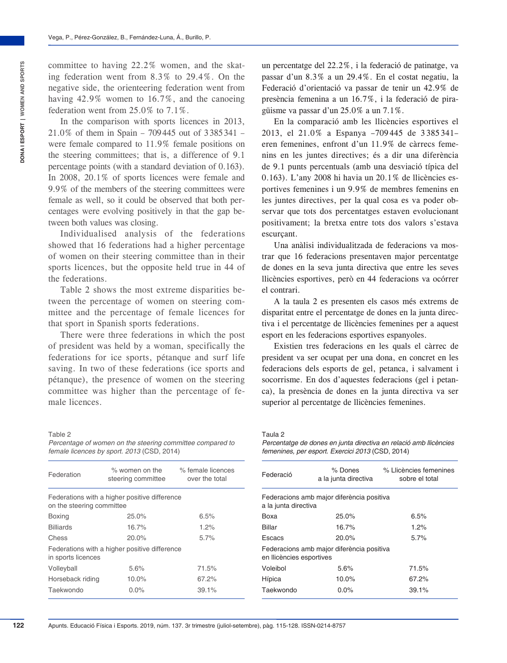committee to having 22.2% women, and the skating federation went from 8.3% to 29.4%. On the negative side, the orienteering federation went from having 42.9% women to 16.7%, and the canoeing federation went from 25.0% to 7.1%.

In the comparison with sports licences in 2013, 21.0% of them in Spain – 709445 out of 3385341 – were female compared to 11.9% female positions on the steering committees; that is, a difference of 9.1 percentage points (with a standard deviation of 0.163). In 2008, 20.1% of sports licences were female and 9.9% of the members of the steering committees were female as well, so it could be observed that both percentages were evolving positively in that the gap between both values was closing.

Individualised analysis of the federations showed that 16 federations had a higher percentage of women on their steering committee than in their sports licences, but the opposite held true in 44 of the federations.

Table 2 shows the most extreme disparities between the percentage of women on steering committee and the percentage of female licences for that sport in Spanish sports federations.

There were three federations in which the post of president was held by a woman, specifically the federations for ice sports, pétanque and surf life saving. In two of these federations (ice sports and pétanque), the presence of women on the steering committee was higher than the percentage of female licences.

Table 2 *Percentage of women on the steering committee compared to female licences by sport. 2013* (CSD, 2014)

| Federation                | $\%$ women on the<br>steering committee       | % female licences<br>over the total |
|---------------------------|-----------------------------------------------|-------------------------------------|
| on the steering committee | Federations with a higher positive difference |                                     |
| <b>Boxing</b>             | 25.0%                                         | 6.5%                                |
| <b>Billiards</b>          | 16.7%                                         | 1.2%                                |
| Chess                     | 20.0%                                         | 5.7%                                |
| in sports licences        | Federations with a higher positive difference |                                     |
| Volleyball                | 5.6%                                          | 71.5%                               |
| Horseback riding          | 10.0%                                         | 67.2%                               |
| Taekwondo                 | $0.0\%$                                       | 39.1%                               |

un percentatge del 22.2%, i la federació de patinatge, va passar d'un 8.3% a un 29.4%. En el costat negatiu, la Federació d'orientació va passar de tenir un 42.9% de presència femenina a un 16.7%, i la federació de piragüisme va passar d'un 25.0% a un 7.1%.

En la comparació amb les llicències esportives el 2013, el 21.0% a Espanya –709 445 de 3 385 341– eren femenines, enfront d'un 11.9% de càrrecs femenins en les juntes directives; és a dir una diferència de 9.1 punts percentuals (amb una desviació típica del 0.163). L'any 2008 hi havia un 20.1% de llicències esportives femenines i un 9.9% de membres femenins en les juntes directives, per la qual cosa es va poder observar que tots dos percentatges estaven evolucionant positivament; la bretxa entre tots dos valors s'estava escurçant.

Una anàlisi individualitzada de federacions va mostrar que 16 federacions presentaven major percentatge de dones en la seva junta directiva que entre les seves llicències esportives, però en 44 federacions va ocórrer el contrari.

A la taula 2 es presenten els casos més extrems de disparitat entre el percentatge de dones en la junta directiva i el percentatge de llicències femenines per a aquest esport en les federacions esportives espanyoles.

Existien tres federacions en les quals el càrrec de president va ser ocupat per una dona, en concret en les federacions dels esports de gel, petanca, i salvament i socorrisme. En dos d'aquestes federacions (gel i petanca), la presència de dones en la junta directiva va ser superior al percentatge de llicències femenines.

#### Taula 2

*Percentatge de dones en junta directiva en relació amb llicències femenines, per esport. Exercici 2013* (CSD, 2014)

| Federació                | % Dones<br>a la junta directiva           | % Llicències femenines<br>sobre el total |
|--------------------------|-------------------------------------------|------------------------------------------|
| a la junta directiva     | Federacions amb major diferència positiva |                                          |
| Boxa                     | 25.0%                                     | 6.5%                                     |
| Billar                   | 16.7%                                     | 1.2%                                     |
| Escacs                   | 20.0%                                     | 5.7%                                     |
| en Ilicències esportives | Federacions amb major diferència positiva |                                          |
| Voleibol                 | 5.6%                                      | 71.5%                                    |
| Hípica                   | 10.0%                                     | 67.2%                                    |
| Taekwondo                | 0.0%                                      | 39.1%                                    |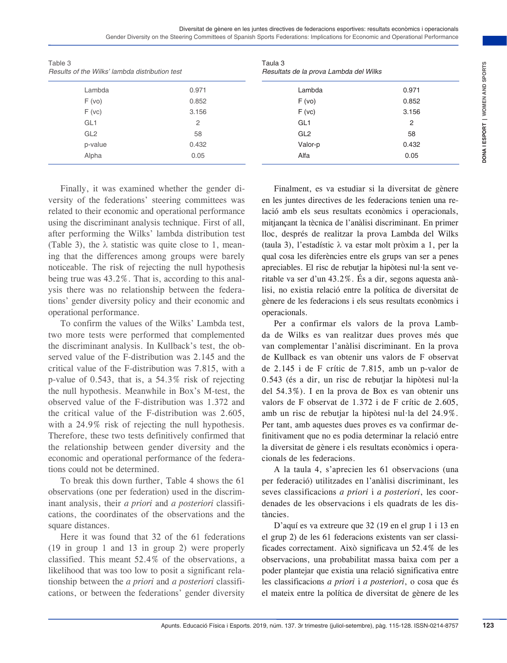Diversitat de gènere en les juntes directives de federacions esportives: resultats econòmics i operacionals Gender Diversity on the Steering Committees of Spanish Sports Federations: Implications for Economic and Operational Performance

| Table 3<br>Results of the Wilks' lambda distribution test                                                                                                                                                                                                                                                                                                                                                                                                                                                                                                                                                                                                                                                                                                                                                                                                                                                                                                                                                                                                                                                                                                                                                                                                                                                                                                                                                                                                                                                                                                                                                                                                                                                                                                                                                                                                                  |                                                                                                                                                                                                            | Taula <sub>3</sub><br>Resultats de la prova Lambda del Wilks                                                                                                                                                                                                                                                                                                                                                                                                                                                                                                                                                                                                                                                                                                                                                                                                                                                                                                                                                                                                                                                                                                                                                                                                                                                                                                                                                                                                                                                                                                                                                                                                                                                                                                                                                                                                                                                      |                                                                                                                                                                                                                    |  |  |
|----------------------------------------------------------------------------------------------------------------------------------------------------------------------------------------------------------------------------------------------------------------------------------------------------------------------------------------------------------------------------------------------------------------------------------------------------------------------------------------------------------------------------------------------------------------------------------------------------------------------------------------------------------------------------------------------------------------------------------------------------------------------------------------------------------------------------------------------------------------------------------------------------------------------------------------------------------------------------------------------------------------------------------------------------------------------------------------------------------------------------------------------------------------------------------------------------------------------------------------------------------------------------------------------------------------------------------------------------------------------------------------------------------------------------------------------------------------------------------------------------------------------------------------------------------------------------------------------------------------------------------------------------------------------------------------------------------------------------------------------------------------------------------------------------------------------------------------------------------------------------|------------------------------------------------------------------------------------------------------------------------------------------------------------------------------------------------------------|-------------------------------------------------------------------------------------------------------------------------------------------------------------------------------------------------------------------------------------------------------------------------------------------------------------------------------------------------------------------------------------------------------------------------------------------------------------------------------------------------------------------------------------------------------------------------------------------------------------------------------------------------------------------------------------------------------------------------------------------------------------------------------------------------------------------------------------------------------------------------------------------------------------------------------------------------------------------------------------------------------------------------------------------------------------------------------------------------------------------------------------------------------------------------------------------------------------------------------------------------------------------------------------------------------------------------------------------------------------------------------------------------------------------------------------------------------------------------------------------------------------------------------------------------------------------------------------------------------------------------------------------------------------------------------------------------------------------------------------------------------------------------------------------------------------------------------------------------------------------------------------------------------------------|--------------------------------------------------------------------------------------------------------------------------------------------------------------------------------------------------------------------|--|--|
| Lambda                                                                                                                                                                                                                                                                                                                                                                                                                                                                                                                                                                                                                                                                                                                                                                                                                                                                                                                                                                                                                                                                                                                                                                                                                                                                                                                                                                                                                                                                                                                                                                                                                                                                                                                                                                                                                                                                     | 0.971                                                                                                                                                                                                      | Lambda                                                                                                                                                                                                                                                                                                                                                                                                                                                                                                                                                                                                                                                                                                                                                                                                                                                                                                                                                                                                                                                                                                                                                                                                                                                                                                                                                                                                                                                                                                                                                                                                                                                                                                                                                                                                                                                                                                            | 0.971                                                                                                                                                                                                              |  |  |
| F(vo)                                                                                                                                                                                                                                                                                                                                                                                                                                                                                                                                                                                                                                                                                                                                                                                                                                                                                                                                                                                                                                                                                                                                                                                                                                                                                                                                                                                                                                                                                                                                                                                                                                                                                                                                                                                                                                                                      | 0.852                                                                                                                                                                                                      | F(vo)                                                                                                                                                                                                                                                                                                                                                                                                                                                                                                                                                                                                                                                                                                                                                                                                                                                                                                                                                                                                                                                                                                                                                                                                                                                                                                                                                                                                                                                                                                                                                                                                                                                                                                                                                                                                                                                                                                             | 0.852                                                                                                                                                                                                              |  |  |
| F(vc)                                                                                                                                                                                                                                                                                                                                                                                                                                                                                                                                                                                                                                                                                                                                                                                                                                                                                                                                                                                                                                                                                                                                                                                                                                                                                                                                                                                                                                                                                                                                                                                                                                                                                                                                                                                                                                                                      | 3.156                                                                                                                                                                                                      | F(vc)                                                                                                                                                                                                                                                                                                                                                                                                                                                                                                                                                                                                                                                                                                                                                                                                                                                                                                                                                                                                                                                                                                                                                                                                                                                                                                                                                                                                                                                                                                                                                                                                                                                                                                                                                                                                                                                                                                             | 3.156                                                                                                                                                                                                              |  |  |
| GL <sub>1</sub>                                                                                                                                                                                                                                                                                                                                                                                                                                                                                                                                                                                                                                                                                                                                                                                                                                                                                                                                                                                                                                                                                                                                                                                                                                                                                                                                                                                                                                                                                                                                                                                                                                                                                                                                                                                                                                                            | $\overline{c}$                                                                                                                                                                                             | GL <sub>1</sub>                                                                                                                                                                                                                                                                                                                                                                                                                                                                                                                                                                                                                                                                                                                                                                                                                                                                                                                                                                                                                                                                                                                                                                                                                                                                                                                                                                                                                                                                                                                                                                                                                                                                                                                                                                                                                                                                                                   | 2                                                                                                                                                                                                                  |  |  |
| GL <sub>2</sub>                                                                                                                                                                                                                                                                                                                                                                                                                                                                                                                                                                                                                                                                                                                                                                                                                                                                                                                                                                                                                                                                                                                                                                                                                                                                                                                                                                                                                                                                                                                                                                                                                                                                                                                                                                                                                                                            | 58                                                                                                                                                                                                         | GL <sub>2</sub>                                                                                                                                                                                                                                                                                                                                                                                                                                                                                                                                                                                                                                                                                                                                                                                                                                                                                                                                                                                                                                                                                                                                                                                                                                                                                                                                                                                                                                                                                                                                                                                                                                                                                                                                                                                                                                                                                                   | 58                                                                                                                                                                                                                 |  |  |
| p-value                                                                                                                                                                                                                                                                                                                                                                                                                                                                                                                                                                                                                                                                                                                                                                                                                                                                                                                                                                                                                                                                                                                                                                                                                                                                                                                                                                                                                                                                                                                                                                                                                                                                                                                                                                                                                                                                    | 0.432                                                                                                                                                                                                      | Valor-p                                                                                                                                                                                                                                                                                                                                                                                                                                                                                                                                                                                                                                                                                                                                                                                                                                                                                                                                                                                                                                                                                                                                                                                                                                                                                                                                                                                                                                                                                                                                                                                                                                                                                                                                                                                                                                                                                                           | 0.432                                                                                                                                                                                                              |  |  |
| Alpha                                                                                                                                                                                                                                                                                                                                                                                                                                                                                                                                                                                                                                                                                                                                                                                                                                                                                                                                                                                                                                                                                                                                                                                                                                                                                                                                                                                                                                                                                                                                                                                                                                                                                                                                                                                                                                                                      | 0.05                                                                                                                                                                                                       | Alfa                                                                                                                                                                                                                                                                                                                                                                                                                                                                                                                                                                                                                                                                                                                                                                                                                                                                                                                                                                                                                                                                                                                                                                                                                                                                                                                                                                                                                                                                                                                                                                                                                                                                                                                                                                                                                                                                                                              | 0.05                                                                                                                                                                                                               |  |  |
| versity of the federations' steering committees was<br>related to their economic and operational performance<br>using the discriminant analysis technique. First of all,<br>after performing the Wilks' lambda distribution test<br>(Table 3), the $\lambda$ statistic was quite close to 1, mean-<br>ing that the differences among groups were barely<br>noticeable. The risk of rejecting the null hypothesis<br>being true was 43.2%. That is, according to this anal-<br>ysis there was no relationship between the federa-<br>tions' gender diversity policy and their economic and<br>operational performance.<br>two more tests were performed that complemented<br>the discriminant analysis. In Kullback's test, the ob-<br>served value of the F-distribution was 2.145 and the<br>critical value of the F-distribution was 7.815, with a<br>p-value of 0.543, that is, a 54.3% risk of rejecting<br>the null hypothesis. Meanwhile in Box's M-test, the<br>observed value of the F-distribution was 1.372 and<br>the critical value of the F-distribution was 2.605,<br>with a 24.9% risk of rejecting the null hypothesis.<br>Therefore, these two tests definitively confirmed that<br>the relationship between gender diversity and the<br>economic and operational performance of the federa-<br>tions could not be determined.<br>observations (one per federation) used in the discrim-<br>inant analysis, their <i>a priori</i> and <i>a posteriori</i> classifi-<br>cations, the coordinates of the observations and the<br>square distances.<br>(19 in group 1 and 13 in group 2) were properly<br>classified. This meant 52.4% of the observations, a<br>likelihood that was too low to posit a significant rela-<br>tionship between the <i>a priori</i> and <i>a posteriori</i> classifi-<br>cations, or between the federations' gender diversity | Finally, it was examined whether the gender di-<br>To confirm the values of the Wilks' Lambda test,<br>To break this down further, Table 4 shows the 61<br>Here it was found that 32 of the 61 federations | en les juntes directives de les federacions tenien una re-<br>lació amb els seus resultats econòmics i operacionals,<br>mitjançant la tècnica de l'anàlisi discriminant. En primer<br>lloc, després de realitzar la prova Lambda del Wilks<br>(taula 3), l'estadístic $\lambda$ va estar molt pròxim a 1, per la<br>qual cosa les diferències entre els grups van ser a penes<br>apreciables. El risc de rebutjar la hipòtesi nul·la sent ve-<br>ritable va ser d'un 43.2%. És a dir, segons aquesta anà-<br>lisi, no existia relació entre la política de diversitat de<br>gènere de les federacions i els seus resultats econòmics i<br>operacionals.<br>da de Wilks es van realitzar dues proves més que<br>van complementar l'anàlisi discriminant. En la prova<br>de Kullback es van obtenir uns valors de F observat<br>de 2.145 i de F crític de 7.815, amb un p-valor de<br>0.543 (és a dir, un risc de rebutjar la hipòtesi nul·la<br>del 54.3%). I en la prova de Box es van obtenir uns<br>valors de F observat de 1.372 i de F crític de 2.605,<br>amb un risc de rebutjar la hipòtesi nul·la del 24.9%.<br>Per tant, amb aquestes dues proves es va confirmar de-<br>finitivament que no es podia determinar la relació entre<br>la diversitat de gènere i els resultats econòmics i opera-<br>cionals de les federacions.<br>per federació) utilitzades en l'anàlisi discriminant, les<br>seves classificacions a priori i a posteriori, les coor-<br>denades de les observacions i els quadrats de les dis-<br>tàncies.<br>el grup 2) de les 61 federacions existents van ser classi-<br>ficades correctament. Això significava un 52.4% de les<br>observacions, una probabilitat massa baixa com per a<br>poder plantejar que existia una relació significativa entre<br>les classificacions a priori i a posteriori, o cosa que és<br>el mateix entre la política de diversitat de gènere de les | Finalment, es va estudiar si la diversitat de gènere<br>Per a confirmar els valors de la prova Lamb-<br>A la taula 4, s'aprecien les 61 observacions (una<br>D'aquí es va extreure que 32 (19 en el grup 1 i 13 en |  |  |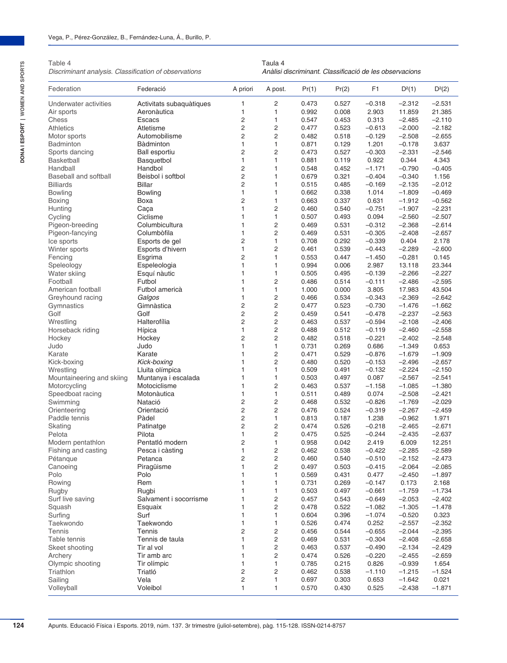Table 4

*Discriminant analysis. Classification of observations*

Taula 4 *Anàlisi discriminant. Classificació de les observacions*

| Federation                   | Federació                | A priori       | A post.                 | Pr(1) | Pr(2) | F <sub>1</sub>    | D <sup>2</sup> (1) | $D^2(2)$ |
|------------------------------|--------------------------|----------------|-------------------------|-------|-------|-------------------|--------------------|----------|
| Underwater activities        | Activitats subaquàtiques | 1              | $\overline{c}$          | 0.473 | 0.527 | $-0.318$          | $-2.312$           | $-2.531$ |
| Air sports                   | Aeronàutica              | 1              | 1                       | 0.992 | 0.008 | 2.903             | 11.859             | 21.385   |
| Chess                        | <b>Escacs</b>            | 2              | $\mathbf{1}$            | 0.547 | 0.453 | 0.313             | $-2.485$           | $-2.110$ |
| <b>Athletics</b>             | Atletisme                | $\overline{2}$ | $\overline{2}$          | 0.477 | 0.523 | $-0.613$          | $-2.000$           | $-2.182$ |
| Motor sports                 | Automobilisme            | $\overline{2}$ | $\overline{2}$          | 0.482 | 0.518 | $-0.129$          | $-2.508$           | $-2.655$ |
| <b>Badminton</b>             | <b>Bàdminton</b>         | 1              | $\mathbf{1}$            | 0.871 | 0.129 | 1.201             | $-0.178$           | 3.637    |
| Sports dancing               | <b>Ball esportiu</b>     | 2              | $\overline{2}$          | 0.473 | 0.527 | $-0.303$          | $-2.331$           | $-2.546$ |
| Basketball                   | Basquetbol               | $\mathbf{1}$   | $\mathbf{1}$            | 0.881 | 0.119 | 0.922             | 0.344              | 4.343    |
| Handball                     | Handbol                  | $\overline{2}$ | $\mathbf{1}$            | 0.548 | 0.452 | $-1.171$          | $-0.790$           | $-0.405$ |
| <b>Baseball and softball</b> | Beisbol i softbol        | $\overline{2}$ | $\mathbf{1}$            | 0.679 | 0.321 | $-0.404$          | $-0.340$           | 1.156    |
| <b>Billiards</b>             | <b>Billar</b>            | $\overline{2}$ | $\mathbf{1}$            | 0.515 | 0.485 | $-0.169$          | $-2.135$           | $-2.012$ |
| <b>Bowling</b>               | <b>Bowling</b>           | $\mathbf{1}$   | $\mathbf{1}$            | 0.662 | 0.338 | 1.014             | $-1.809$           | $-0.469$ |
| Boxing                       | Boxa                     | $\overline{2}$ | $\mathbf{1}$            | 0.663 | 0.337 | 0.631             | $-1.912$           | $-0.562$ |
| Hunting                      | Caça                     | $\mathbf{1}$   | 2                       | 0.460 | 0.540 | $-0.751$          | $-1.907$           | $-2.231$ |
|                              | Ciclisme                 | 1              | $\mathbf{1}$            | 0.507 | 0.493 | 0.094             | $-2.560$           | $-2.507$ |
| Cycling                      |                          | $\mathbf{1}$   |                         |       |       |                   |                    |          |
| Pigeon-breeding              | Columbicultura           |                | $\overline{c}$          | 0.469 | 0.531 | $-0.312$          | $-2.368$           | $-2.614$ |
| Pigeon-fancying              | Columbòfila              | $\mathbf{1}$   | $\overline{2}$          | 0.469 | 0.531 | $-0.305$          | $-2.408$           | $-2.657$ |
| Ice sports                   | Esports de gel           | $\overline{2}$ | $\mathbf{1}$            | 0.708 | 0.292 | $-0.339$          | 0.404              | 2.178    |
| Winter sports                | Esports d'hivern         | $\mathbf{1}$   | $\overline{c}$          | 0.461 | 0.539 | $-0.443$          | $-2.289$           | $-2.600$ |
| Fencing                      | Esgrima                  | $\overline{c}$ | $\mathbf{1}$            | 0.553 | 0.447 | $-1.450$          | $-0.281$           | 0.145    |
| Speleology                   | Espeleologia             | 1              | $\mathbf{1}$            | 0.994 | 0.006 | 2.987             | 13.118             | 23.344   |
| Water skiing                 | Esquí nàutic             | $\mathbf{1}$   | $\mathbf{1}$            | 0.505 | 0.495 | $-0.139$          | $-2.266$           | $-2.227$ |
| Football                     | Futbol                   | 1              | $\overline{2}$          | 0.486 | 0.514 | $-0.111$          | $-2.486$           | $-2.595$ |
| American football            | Futbol americà           | 1              | $\mathbf{1}$            | 1.000 | 0.000 | 3.805             | 17.983             | 43.504   |
| Greyhound racing             | Galgos                   | 1              | $\overline{c}$          | 0.466 | 0.534 | $-0.343$          | $-2.369$           | $-2.642$ |
| Gymnastics                   | Gimnàstica               | $\overline{2}$ | $\overline{c}$          | 0.477 | 0.523 | $-0.730$          | $-1.476$           | $-1.662$ |
| Golf                         | Golf                     | $\overline{2}$ | $\overline{c}$          | 0.459 | 0.541 | $-0.478$          | $-2.237$           | $-2.563$ |
| Wrestling                    | Halterofília             | $\overline{2}$ | $\overline{2}$          | 0.463 | 0.537 | $-0.594$          | $-2.108$           | $-2.406$ |
| Horseback riding             | Hípica                   | $\mathbf{1}$   | $\overline{c}$          | 0.488 | 0.512 | $-0.119$          | $-2.460$           | $-2.558$ |
| Hockey                       | Hockey                   | $\overline{c}$ | $\overline{2}$          | 0.482 | 0.518 | $-0.221$          | $-2.402$           | $-2.548$ |
| Judo                         | Judo                     | $\mathbf{1}$   | $\mathbf{1}$            | 0.731 | 0.269 | 0.686             | $-1.349$           | 0.653    |
| Karate                       | Karate                   | 1              | $\overline{2}$          | 0.471 | 0.529 | $-0.876$          | $-1.679$           | $-1.909$ |
| Kick-boxing                  | Kick-boxing              | 1              | $\overline{c}$          | 0.480 | 0.520 | $-0.153$          | $-2.496$           | $-2.657$ |
| Wrestling                    | Lluita olímpica          | 1              | $\mathbf{1}$            | 0.509 | 0.491 | $-0.132$          | $-2.224$           | $-2.150$ |
| Mountaineering and skiing    | Muntanya i escalada      | $\mathbf{1}$   | $\mathbf{1}$            | 0.503 | 0.497 | 0.087             | $-2.567$           | $-2.541$ |
| Motorcycling                 | Motociclisme             | $\mathbf{1}$   | $\overline{c}$          | 0.463 | 0.537 | $-1.158$          | $-1.085$           | $-1.380$ |
| Speedboat racing             | Motonàutica              | 1              | $\mathbf{1}$            | 0.511 | 0.489 | 0.074             | $-2.508$           | $-2.421$ |
| Swimming                     | Natació                  | $\overline{c}$ | $\overline{c}$          | 0.468 | 0.532 | $-0.826$          | $-1.769$           | $-2.029$ |
| Orienteering                 | Orientació               | $\overline{c}$ | $\overline{c}$          | 0.476 | 0.524 | $-0.319$          | $-2.267$           | $-2.459$ |
| Paddle tennis                | Pàdel                    | $\overline{2}$ | $\mathbf{1}$            |       |       |                   |                    |          |
|                              |                          | $\overline{2}$ |                         | 0.813 | 0.187 | 1.238<br>$-0.218$ | $-0.962$           | 1.971    |
| Skating                      | Patinatge                |                | $\overline{c}$          | 0.474 | 0.526 |                   | $-2.465$           | $-2.671$ |
| Pelota                       | Pilota                   | 1              | $\overline{2}$          | 0.475 | 0.525 | $-0.244$          | $-2.435$           | $-2.637$ |
| Modern pentathlon            | Pentatló modern          | $\overline{c}$ | $\mathbf{1}$            | 0.958 | 0.042 | 2.419             | 6.009              | 12.251   |
| Fishing and casting          | Pesca i càsting          | $\mathbf{1}$   | $\overline{2}$          | 0.462 | 0.538 | $-0.422$          | $-2.285$           | $-2.589$ |
| Pétanque                     | Petanca                  | 2              | 2                       | 0.460 | 0.540 | $-0.510$          | $-2.152$           | $-2.473$ |
| Canoeing                     | Piragüisme               | 1              | $\overline{c}$          | 0.497 | 0.503 | $-0.415$          | $-2.064$           | $-2.085$ |
| Polo                         | Polo                     | 1              | 1                       | 0.569 | 0.431 | 0.477             | $-2.450$           | $-1.897$ |
| Rowing                       | Rem                      | 1              | 1                       | 0.731 | 0.269 | $-0.147$          | 0.173              | 2.168    |
| Rugby                        | Rugbi                    | 1              | 1                       | 0.503 | 0.497 | $-0.661$          | $-1.759$           | $-1.734$ |
| Surf live saving             | Salvament i socorrisme   | 1              | 2                       | 0.457 | 0.543 | $-0.649$          | $-2.053$           | $-2.402$ |
| Squash                       | Esquaix                  | 1              | $\overline{c}$          | 0.478 | 0.522 | $-1.082$          | $-1.305$           | $-1.478$ |
| Surfing                      | Surf                     | 1              | 1                       | 0.604 | 0.396 | $-1.074$          | $-0.520$           | 0.323    |
| Taekwondo                    | Taekwondo                | 1              | $\mathbf{1}$            | 0.526 | 0.474 | 0.252             | $-2.557$           | $-2.352$ |
| Tennis                       | Tennis                   | $\overline{2}$ | $\overline{\mathbf{c}}$ | 0.456 | 0.544 | $-0.655$          | $-2.044$           | $-2.395$ |
| Table tennis                 | Tennis de taula          | 1              | $\overline{c}$          | 0.469 | 0.531 | $-0.304$          | $-2.408$           | $-2.658$ |
| Skeet shooting               | Tir al vol               | 1              | $\overline{c}$          | 0.463 | 0.537 | $-0.490$          | $-2.134$           | $-2.429$ |
| Archery                      | Tir amb arc              | 1              | $\overline{c}$          | 0.474 | 0.526 | $-0.220$          | $-2.455$           | $-2.659$ |
| Olympic shooting             | Tir olímpic              | 1              | $\mathbf{1}$            | 0.785 | 0.215 | 0.826             | $-0.939$           | 1.654    |
| Triathlon                    | Triatló                  | 2              | $\overline{c}$          | 0.462 | 0.538 | $-1.110$          | $-1.215$           | $-1.524$ |
|                              | Vela                     | $\overline{c}$ | $\mathbf{1}$            |       |       |                   |                    | 0.021    |
| Sailing                      |                          |                |                         | 0.697 | 0.303 | 0.653             | $-1.642$           |          |
| Volleyball                   | Voleibol                 | $\mathbf{1}$   | $\mathbf{1}$            | 0.570 | 0.430 | 0.525             | $-2.438$           | $-1.871$ |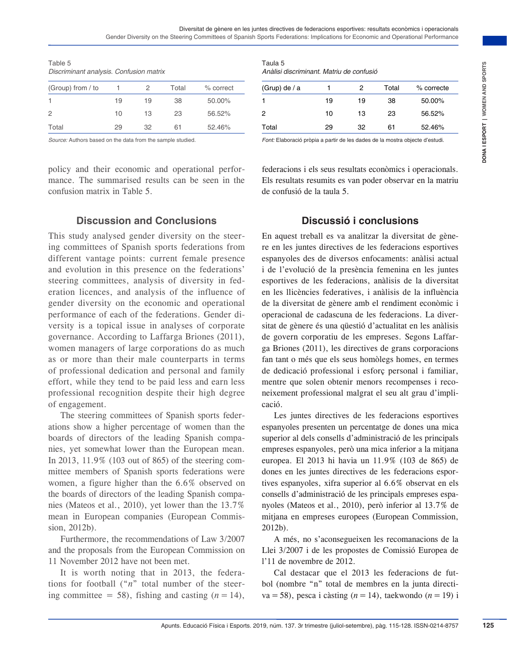| Table 5                                 |  |  |
|-----------------------------------------|--|--|
| Discriminant analysis. Confusion matrix |  |  |

| (Group) from / to |    |    | Total | % correct |
|-------------------|----|----|-------|-----------|
|                   | 19 | 19 | 38    | 50.00%    |
| $\overline{2}$    | 10 | 13 | 23    | 56.52%    |
| Total             | 29 | 32 | 61    | 52.46%    |

*Source:* Authors based on the data from the sample studied.

policy and their economic and operational performance. The summarised results can be seen in the confusion matrix in Table 5.

#### Taula 5 *Anàlisi discriminant. Matriu de confusió*

| (Grup) de / a |    | 2  | Total | % correcte |
|---------------|----|----|-------|------------|
| 1             | 19 | 19 | 38    | 50.00%     |
| 2             | 10 | 13 | 23    | 56.52%     |
| Total         | 29 | 32 | 61    | 52.46%     |

*Font:* Elaboració pròpia a partir de les dades de la mostra objecte d'estudi.

federacions i els seus resultats econòmics i operacionals. Els resultats resumits es van poder observar en la matriu de confusió de la taula 5.

#### **Discussion and Conclusions**

This study analysed gender diversity on the steering committees of Spanish sports federations from different vantage points: current female presence and evolution in this presence on the federations' steering committees, analysis of diversity in federation licences, and analysis of the influence of gender diversity on the economic and operational performance of each of the federations. Gender diversity is a topical issue in analyses of corporate governance. According to Laffarga Briones (2011), women managers of large corporations do as much as or more than their male counterparts in terms of professional dedication and personal and family effort, while they tend to be paid less and earn less professional recognition despite their high degree of engagement.

The steering committees of Spanish sports federations show a higher percentage of women than the boards of directors of the leading Spanish companies, yet somewhat lower than the European mean. In 2013, 11.9% (103 out of 865) of the steering committee members of Spanish sports federations were women, a figure higher than the 6.6% observed on the boards of directors of the leading Spanish companies (Mateos et al., 2010), yet lower than the 13.7% mean in European companies (European Commission, 2012b).

Furthermore, the recommendations of Law 3/2007 and the proposals from the European Commission on 11 November 2012 have not been met.

It is worth noting that in 2013, the federations for football ("*n*" total number of the steering committee = 58), fishing and casting  $(n = 14)$ ,

#### **Discussió i conclusions**

Apunts. Educació Física i Esports. 2019, núm. 137. 3r trimestre (juliol-setembre), pàg. 115-128. ISSN-0214-8757 **125DONA I ESPORT | WOMEN AND SPORTS** En aquest treball es va analitzar la diversitat de gènere en les juntes directives de les federacions esportives espanyoles des de diversos enfocaments: anàlisi actual i de l'evolució de la presència femenina en les juntes esportives de les federacions, anàlisis de la diversitat en les llicències federatives, i anàlisis de la influència de la diversitat de gènere amb el rendiment econòmic i operacional de cadascuna de les federacions. La diversitat de gènere és una qüestió d'actualitat en les anàlisis de govern corporatiu de les empreses. Segons Laffarga Briones (2011), les directives de grans corporacions fan tant o més que els seus homòlegs homes, en termes de dedicació professional i esforç personal i familiar, mentre que solen obtenir menors recompenses i reconeixement professional malgrat el seu alt grau d'implicació.

Les juntes directives de les federacions esportives espanyoles presenten un percentatge de dones una mica superior al dels consells d'administració de les principals empreses espanyoles, però una mica inferior a la mitjana europea. El 2013 hi havia un 11.9% (103 de 865) de dones en les juntes directives de les federacions esportives espanyoles, xifra superior al 6.6% observat en els consells d'administració de les principals empreses espanyoles (Mateos et al., 2010), però inferior al 13.7% de mitjana en empreses europees (European Commission, 2012b).

A més, no s'aconsegueixen les recomanacions de la Llei 3/2007 i de les propostes de Comissió Europea de l'11 de novembre de 2012.

Cal destacar que el 2013 les federacions de futbol (nombre "n" total de membres en la junta directiva = 58), pesca i càsting ( $n = 14$ ), taekwondo ( $n = 19$ ) i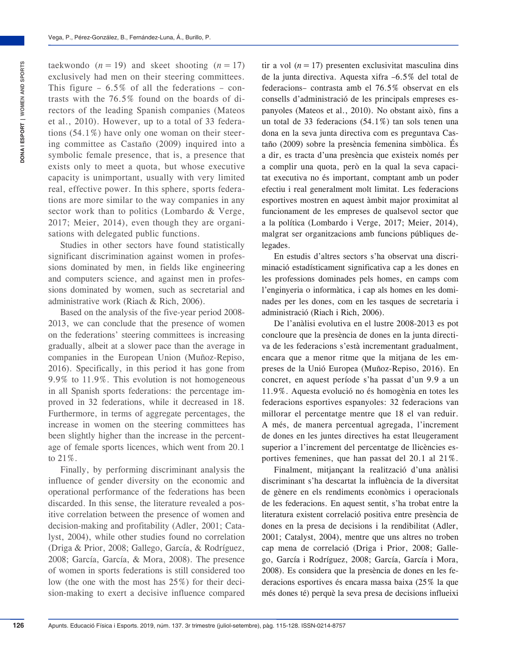taekwondo  $(n = 19)$  and skeet shooting  $(n = 17)$ exclusively had men on their steering committees. This figure – 6.5% of all the federations – contrasts with the 76.5% found on the boards of directors of the leading Spanish companies (Mateos et al., 2010). However, up to a total of 33 federations (54.1%) have only one woman on their steering committee as Castaño (2009) inquired into a symbolic female presence, that is, a presence that exists only to meet a quota, but whose executive capacity is unimportant, usually with very limited real, effective power. In this sphere, sports federations are more similar to the way companies in any sector work than to politics (Lombardo & Verge, 2017; Meier, 2014), even though they are organisations with delegated public functions.

Studies in other sectors have found statistically significant discrimination against women in professions dominated by men, in fields like engineering and computers science, and against men in professions dominated by women, such as secretarial and administrative work (Riach & Rich, 2006).

Based on the analysis of the five-year period 2008- 2013, we can conclude that the presence of women on the federations' steering committees is increasing gradually, albeit at a slower pace than the average in companies in the European Union (Muñoz-Repiso, 2016). Specifically, in this period it has gone from 9.9% to 11.9%. This evolution is not homogeneous in all Spanish sports federations: the percentage improved in 32 federations, while it decreased in 18. Furthermore, in terms of aggregate percentages, the increase in women on the steering committees has been slightly higher than the increase in the percentage of female sports licences, which went from 20.1 to 21%.

Finally, by performing discriminant analysis the influence of gender diversity on the economic and operational performance of the federations has been discarded. In this sense, the literature revealed a positive correlation between the presence of women and decision-making and profitability (Adler, 2001; Catalyst, 2004), while other studies found no correlation (Driga & Prior, 2008; Gallego, García, & Rodríguez, 2008; García, García, & Mora, 2008). The presence of women in sports federations is still considered too low (the one with the most has 25%) for their decision-making to exert a decisive influence compared tir a vol  $(n = 17)$  presenten exclusivitat masculina dins de la junta directiva. Aquesta xifra –6.5% del total de federacions– contrasta amb el 76.5% observat en els consells d'administració de les principals empreses espanyoles (Mateos et al., 2010). No obstant això, fins a un total de 33 federacions (54.1%) tan sols tenen una dona en la seva junta directiva com es preguntava Castaño (2009) sobre la presència femenina simbòlica. És a dir, es tracta d'una presència que existeix només per a complir una quota, però en la qual la seva capacitat executiva no és important, comptant amb un poder efectiu i real generalment molt limitat. Les federacions esportives mostren en aquest àmbit major proximitat al funcionament de les empreses de qualsevol sector que a la política (Lombardo i Verge, 2017; Meier, 2014), malgrat ser organitzacions amb funcions públiques delegades.

En estudis d'altres sectors s'ha observat una discriminació estadísticament significativa cap a les dones en les professions dominades pels homes, en camps com l'enginyeria o informàtica, i cap als homes en les dominades per les dones, com en les tasques de secretaria i administració (Riach i Rich, 2006).

De l'anàlisi evolutiva en el lustre 2008-2013 es pot concloure que la presència de dones en la junta directiva de les federacions s'està incrementant gradualment, encara que a menor ritme que la mitjana de les empreses de la Unió Europea (Muñoz-Repiso, 2016). En concret, en aquest període s'ha passat d'un 9.9 a un 11.9%. Aquesta evolució no és homogènia en totes les federacions esportives espanyoles: 32 federacions van millorar el percentatge mentre que 18 el van reduir. A més, de manera percentual agregada, l'increment de dones en les juntes directives ha estat lleugerament superior a l'increment del percentatge de llicències esportives femenines, que han passat del 20.1 al 21%.

Finalment, mitjançant la realització d'una anàlisi discriminant s'ha descartat la influència de la diversitat de gènere en els rendiments econòmics i operacionals de les federacions. En aquest sentit, s'ha trobat entre la literatura existent correlació positiva entre presència de dones en la presa de decisions i la rendibilitat (Adler, 2001; Catalyst, 2004), mentre que uns altres no troben cap mena de correlació (Driga i Prior, 2008; Gallego, García i Rodríguez, 2008; García, García i Mora, 2008). Es considera que la presència de dones en les federacions esportives és encara massa baixa (25% la que més dones té) perquè la seva presa de decisions influeixi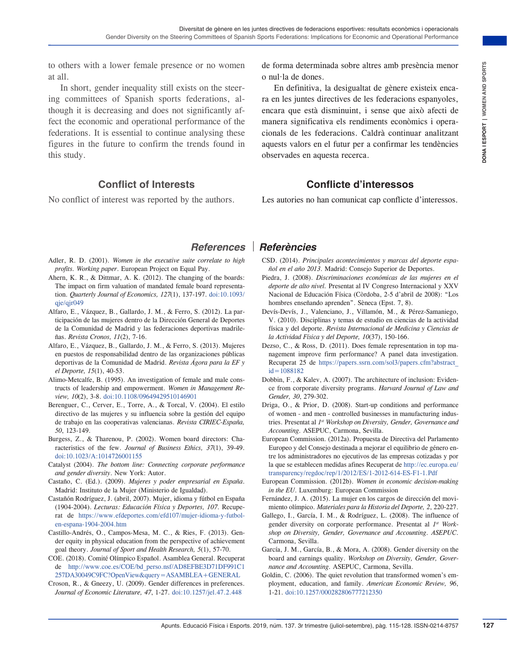to others with a lower female presence or no women at all.

In short, gender inequality still exists on the steering committees of Spanish sports federations, although it is decreasing and does not significantly affect the economic and operational performance of the federations. It is essential to continue analysing these figures in the future to confirm the trends found in this study.

#### **Conflict of Interests**

No conflict of interest was reported by the authors.

de forma determinada sobre altres amb presència menor o nul·la de dones.

presence or no women<br>
and both and the setels.<br>
and the sum. In detections and the sum. In detections control in the sum of the sum of the sum of the set of the sum of the set of the sum of the set of the sum of the set of En definitiva, la desigualtat de gènere existeix encara en les juntes directives de les federacions espanyoles, encara que està disminuint, i sense que això afecti de manera significativa els rendiments econòmics i operacionals de les federacions. Caldrà continuar analitzant aquests valors en el futur per a confirmar les tendències observades en aquesta recerca.

## **Conflicte d'interessos**

Les autories no han comunicat cap conflicte d'interessos.

- Adler, R. D. (2001). *Women in the executive suite correlate to high profits. Working paper*. European Project on Equal Pay.
- Ahern, K. R., & Dittmar, A. K. (2012). The changing of the boards: The impact on firm valuation of mandated female board representation. *Quarterly Journal of Economics, 127*(1), 137-197. [doi:10.1093/](https://doi.org/10.1093/qje/qjr049)  $q$ ie/ $q$ ir $049$
- Alfaro, E., Vázquez, B., Gallardo, J. M., & Ferro, S. (2012). La participación de las mujeres dentro de la Dirección General de Deportes de la Comunidad de Madrid y las federaciones deportivas madrileñas. *Revista Cronos, 11*(2), 7-16.
- Alfaro, E., Vázquez, B., Gallardo, J. M., & Ferro, S. (2013). Mujeres en puestos de responsabilidad dentro de las organizaciones públicas deportivas de la Comunidad de Madrid. *Revista Ágora para la EF y el Deporte, 15*(1), 40-53.
- Alimo-Metcalfe, B. (1995). An investigation of female and male constructs of leadership and empowerment. *Women in Management Review, 10*(2), 3-8. [doi:10.1108/09649429510146901](https://doi.org/10.1108/09649429510146901)
- Berenguer, C., Cerver, E., Torre, A., & Torcal, V. (2004). El estilo directivo de las mujeres y su influencia sobre la gestión del equipo de trabajo en las cooperativas valencianas. *Revista CIRIEC-España, 50*, 123-149.
- Burgess, Z., & Tharenou, P. (2002). Women board directors: Characteristics of the few. *Journal of Business Ethics, 37*(1), 39-49. [doi:10.1023/A:1014726001155](https://doi.org/10.1023/A:1014726001155)
- Catalyst (2004). *The bottom line: Connecting corporate performance and gender diversity*. New York: Autor.
- Castaño, C. (Ed.). (2009). *Mujeres y poder empresarial en España*. Madrid: Instituto de la Mujer (Ministerio de Igualdad).
- Castañón Rodríguez, J. (abril, 2007). Mujer, idioma y fútbol en España (1904-2004). *Lecturas: Educación Física y Deportes, 107*. Recuperat de [https://www.efdeportes.com/efd107/mujer-idioma-y-futbol](https://www.efdeportes.com/efd107/mujer-idioma-y-futbol-en-espana-1904-2004.htm)[en-espana-1904-2004.htm](https://www.efdeportes.com/efd107/mujer-idioma-y-futbol-en-espana-1904-2004.htm)
- Castillo-Andrés, O., Campos-Mesa, M. C., & Ries, F. (2013). Gender equity in physical education from the perspective of achievement goal theory. *Journal of Sport and Health Research, 5*(1), 57-70.
- COE. (2018). Comité Olímpico Español. Asamblea General. Recuperat de [http://www.coe.es/COE/bd\\_perso.nsf/AD8EFBE3D71DF991C1](http://www.coe.es/COE/bd_perso.nsf/AD8EFBE3D71DF991C1257DA30049C9FC?OpenView&query=ASAMBLEA+GENERAL) [257DA30049C9FC?OpenView&query=ASAMBLEA+GENERAL](http://www.coe.es/COE/bd_perso.nsf/AD8EFBE3D71DF991C1257DA30049C9FC?OpenView&query=ASAMBLEA+GENERAL)
- Croson, R., & Gneezy, U. (2009). Gender differences in preferences. *Journal of Economic Literature, 47*, 1-27. [doi:10.1257/jel.47.2.448](https://doi.org/10.1257/jel.47.2.448)

## *References Referències*

- CSD. (2014). *Principales acontecimientos y marcas del deporte español en el año 2013*. Madrid: Consejo Superior de Deportes.
- Piedra, J. (2008). *Discriminaciones económicas de las mujeres en el deporte de alto nivel.* Presentat al IV Congreso Internacional y XXV Nacional de Educación Física (Còrdoba, 2-5 d'abril de 2008): "Los hombres enseñando aprenden". Sèneca (Epst. 7, 8).
- Devís-Devís, J., Valenciano, J., Villamón, M., & Pérez-Samaniego, V. (2010). Disciplinas y temas de estudio en ciencias de la actividad física y del deporte. *Revista Internacional de Medicina y Ciencias de la Actividad Física y del Deporte, 10*(37), 150-166.
- Dezso, C., & Ross, D. (2011). Does female representation in top management improve firm performance? A panel data investigation. Recuperat 25 de [https://papers.ssrn.com/sol3/papers.cfm?abstract\\_](https://papers.ssrn.com/sol3/papers.cfm?abstract_id=1088182)  $id = 1088182$
- Dobbin, F., & Kalev, A. (2007). The architecture of inclusion: Evidence from corporate diversity programs. *Harvard Journal of Law and Gender, 30*, 279-302.
- Driga, O., & Prior, D. (2008). Start-up conditions and performance of women - and men - controlled businesses in manufacturing industries. Presentat al *1st Workshop on Diversity, Gender, Governance and Accounting.* ASEPUC, Carmona, Sevilla.
- European Commission. (2012a). Propuesta de Directiva del Parlamento Europeo y del Consejo destinada a mejorar el equilibrio de género entre los administradores no ejecutivos de las empresas cotizadas y por la que se establecen medidas afines Recuperat de [http://ec.europa.eu/](http://ec.europa.eu/transparency/regdoc/rep/1/2012/ES/1-2012-614-ES-F1-1.Pdf) [transparency/regdoc/rep/1/2012/ES/1-2012-614-ES-F1-1.Pdf](http://ec.europa.eu/transparency/regdoc/rep/1/2012/ES/1-2012-614-ES-F1-1.Pdf)
- European Commission. (2012b). *Women in economic decision-making in the EU*. Luxemburg: European Commission
- Fernández, J. A. (2015). La mujer en los cargos de dirección del movimiento olímpico. *Materiales para la Historia del Deporte, 2*, 220-227.
- Gallego, I., García, I. M., & Rodríguez, L. (2008). The influence of gender diversity on corporate performance. Presentat al *1st Workshop on Diversity, Gender, Governance and Accounting. ASEPUC*. Carmona, Sevilla.
- García, J. M., García, B., & Mora, A. (2008). Gender diversity on the board and earnings quality. *Workshop on Diversity, Gender, Governance and Accounting.* ASEPUC, Carmona, Sevilla.
- Goldin, C. (2006). The quiet revolution that transformed women's employment, education, and family. *American Economic Review, 96*, 1-21. [doi:10.1257/000282806777212350](https://doi.org/10.1257/000282806777212350)